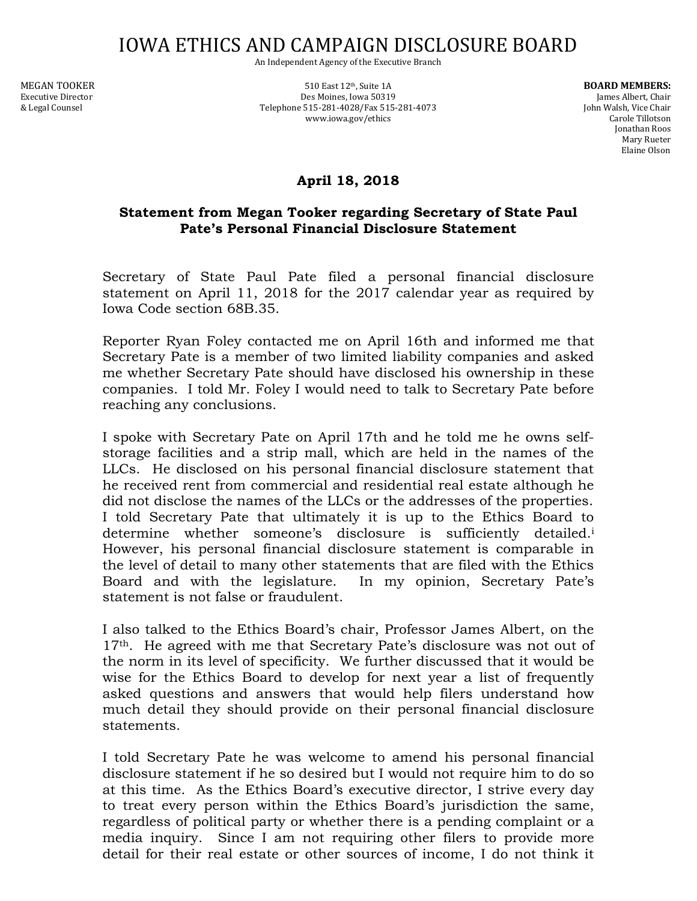## IOWA ETHICS AND CAMPAIGN DISCLOSURE BOARD

An Independent Agency of the Executive Branch

MEGAN TOOKER **Suite 1A** 510 East 12<sup>th</sup>, Suite 1A **BOARD MEMBERS:** 510 East 12<sup>th</sup>, Suite 1A Executive Director **Executive Director** Des Moines, Iowa 50319 James Albert, Chair & Legal Counsel Telephone 515-281-4028/Fax 515-281-4073 John Walsh, Vice Chair www.iowa.gov/ethics

Jonathan Roos Mary Rueter Elaine Olson

## **April 18, 2018**

## **Statement from Megan Tooker regarding Secretary of State Paul Pate's Personal Financial Disclosure Statement**

Secretary of State Paul Pate filed a personal financial disclosure statement on April 11, 2018 for the 2017 calendar year as required by Iowa Code section 68B.35.

Reporter Ryan Foley contacted me on April 16th and informed me that Secretary Pate is a member of two limited liability companies and asked me whether Secretary Pate should have disclosed his ownership in these companies. I told Mr. Foley I would need to talk to Secretary Pate before reaching any conclusions.

I spoke with Secretary Pate on April 17th and he told me he owns selfstorage facilities and a strip mall, which are held in the names of the LLCs. He disclosed on his personal financial disclosure statement that he received rent from commercial and residential real estate although he did not disclose the names of the LLCs or the addresses of the properties. I told Secretary Pate that ultimately it is up to the Ethics Board to determine whether someone's disclosure is sufficiently detailed.<sup>i</sup> However, his personal financial disclosure statement is comparable in the level of detail to many other statements that are filed with the Ethics Board and with the legislature. In my opinion, Secretary Pate's statement is not false or fraudulent.

I also talked to the Ethics Board's chair, Professor James Albert, on the 17<sup>th</sup>. He agreed with me that Secretary Pate's disclosure was not out of the norm in its level of specificity. We further discussed that it would be wise for the Ethics Board to develop for next year a list of frequently asked questions and answers that would help filers understand how much detail they should provide on their personal financial disclosure statements.

I told Secretary Pate he was welcome to amend his personal financial disclosure statement if he so desired but I would not require him to do so at this time. As the Ethics Board's executive director, I strive every day to treat every person within the Ethics Board's jurisdiction the same, regardless of political party or whether there is a pending complaint or a media inquiry. Since I am not requiring other filers to provide more detail for their real estate or other sources of income, I do not think it